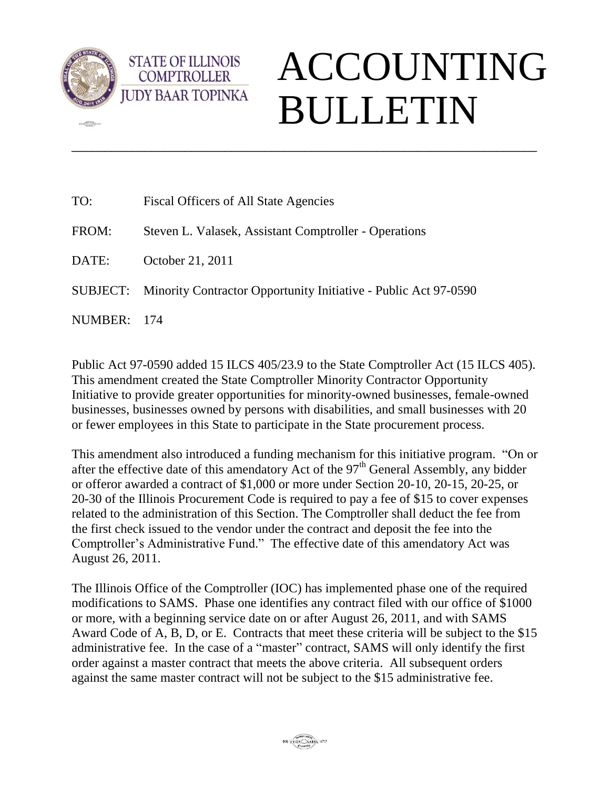

**CERN** 

**STATE OF ILLINOIS COMPTROLLER** 

## ACCOUNTING BULLETIN

| TO:      | Fiscal Officers of All State Agencies                           |
|----------|-----------------------------------------------------------------|
| FROM:    | Steven L. Valasek, Assistant Comptroller - Operations           |
| DATE:    | October 21, 2011                                                |
| SUBJECT: | Minority Contractor Opportunity Initiative - Public Act 97-0590 |
| NUMBER:  | - 174                                                           |

\_\_\_\_\_\_\_\_\_\_\_\_\_\_\_\_\_\_\_\_\_\_\_\_\_\_\_\_\_\_\_\_\_\_\_\_\_\_\_\_\_\_\_\_\_\_\_\_\_\_\_\_\_\_\_\_\_\_\_\_\_\_\_\_\_\_\_\_\_\_

Public Act 97-0590 added 15 ILCS 405/23.9 to the State Comptroller Act (15 ILCS 405). This amendment created the State Comptroller Minority Contractor Opportunity Initiative to provide greater opportunities for minority-owned businesses, female-owned businesses, businesses owned by persons with disabilities, and small businesses with 20 or fewer employees in this State to participate in the State procurement process.

This amendment also introduced a funding mechanism for this initiative program. "On or after the effective date of this amendatory Act of the  $97<sup>th</sup>$  General Assembly, any bidder or offeror awarded a contract of \$1,000 or more under Section 20-10, 20-15, 20-25, or 20-30 of the Illinois Procurement Code is required to pay a fee of \$15 to cover expenses related to the administration of this Section. The Comptroller shall deduct the fee from the first check issued to the vendor under the contract and deposit the fee into the Comptroller's Administrative Fund." The effective date of this amendatory Act was August 26, 2011.

The Illinois Office of the Comptroller (IOC) has implemented phase one of the required modifications to SAMS. Phase one identifies any contract filed with our office of \$1000 or more, with a beginning service date on or after August 26, 2011, and with SAMS Award Code of A, B, D, or E. Contracts that meet these criteria will be subject to the \$15 administrative fee. In the case of a "master" contract, SAMS will only identify the first order against a master contract that meets the above criteria. All subsequent orders against the same master contract will not be subject to the \$15 administrative fee.